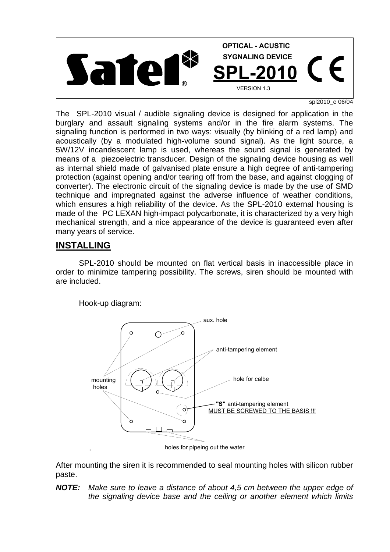

spl2010\_e 06/04

The SPL-2010 visual / audible signaling device is designed for application in the burglary and assault signaling systems and/or in the fire alarm systems. The signaling function is performed in two ways: visually (by blinking of a red lamp) and acoustically (by a modulated high-volume sound signal). As the light source, a 5W/12V incandescent lamp is used, whereas the sound signal is generated by means of a piezoelectric transducer. Design of the signaling device housing as well as internal shield made of galvanised plate ensure a high degree of anti-tampering protection (against opening and/or tearing off from the base, and against clogging of converter). The electronic circuit of the signaling device is made by the use of SMD technique and impregnated against the adverse influence of weather conditions, which ensures a high reliability of the device. As the SPL-2010 external housing is made of the PC LEXAN high-impact polycarbonate, it is characterized by a very high mechanical strength, and a nice appearance of the device is guaranteed even after many years of service.

## **INSTALLING**

.

 SPL-2010 should be mounted on flat vertical basis in inaccessible place in order to minimize tampering possibility. The screws, siren should be mounted with are included.

Hook-up diagram:



holes for pipeing out the water

After mounting the siren it is recommended to seal mounting holes with silicon rubber paste.

*NOTE: Make sure to leave a distance of about 4,5 cm between the upper edge of the signaling device base and the ceiling or another element which limits*